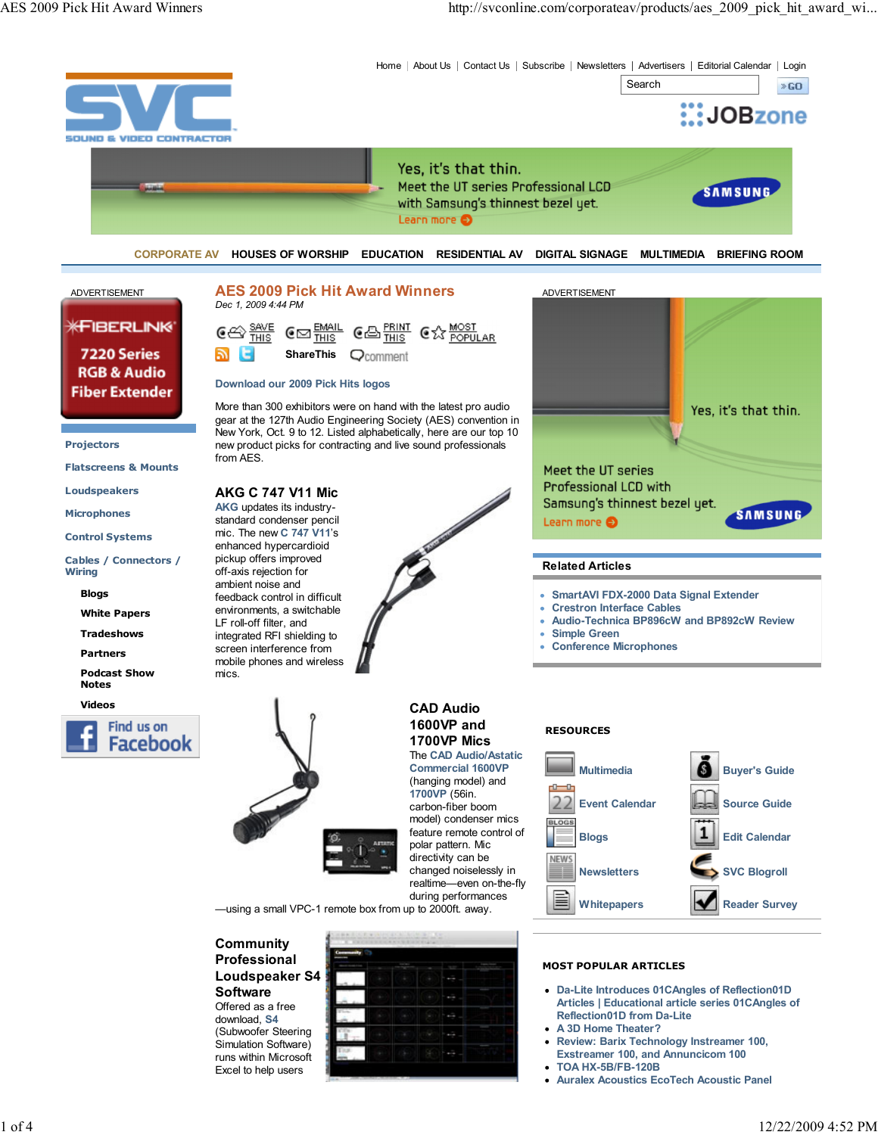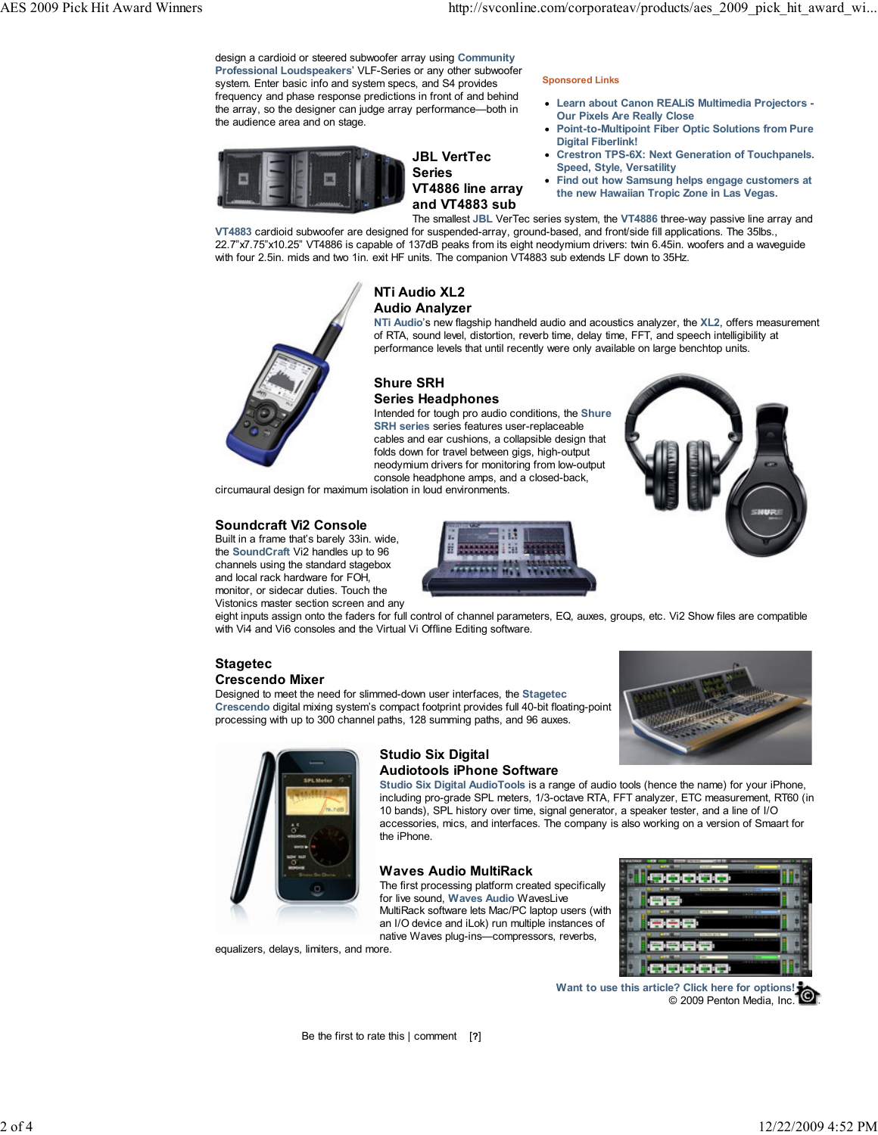design a cardioid or steered subwoofer array using Community Professional Loudspeakers' VLF-Series or any other subwoofer system. Enter basic info and system specs, and S4 provides frequency and phase response predictions in front of and behind the array, so the designer can judge array performance—both in the audience area and on stage.



## JBL VertTec Series VT4886 line array and VT4883 sub

#### Sponsored Links

- Learn about Canon REALiS Multimedia Projectors Our Pixels Are Really Close
- Point-to-Multipoint Fiber Optic Solutions from Pure Digital Fiberlink!
- Crestron TPS-6X: Next Generation of Touchpanels. Speed, Style, Versatility
- Find out how Samsung helps engage customers at the new Hawaiian Tropic Zone in Las Vegas.

The smallest JBL VerTec series system, the VT4886 three-way passive line array and VT4883 cardioid subwoofer are designed for suspended-array, ground-based, and front/side fill applications. The 35lbs., 22.7"x7.75"x10.25" VT4886 is capable of 137dB peaks from its eight neodymium drivers: twin 6.45in. woofers and a waveguide with four 2.5in. mids and two 1in. exit HF units. The companion VT4883 sub extends LF down to 35Hz.



## NTi Audio XL2 Audio Analyzer

NTi Audio's new flagship handheld audio and acoustics analyzer, the XL2, offers measurement of RTA, sound level, distortion, reverb time, delay time, FFT, and speech intelligibility at performance levels that until recently were only available on large benchtop units.

## Shure SRH Series Headphones

Intended for tough pro audio conditions, the Shure SRH series series features user-replaceable cables and ear cushions, a collapsible design that folds down for travel between gigs, high-output neodymium drivers for monitoring from low-output console headphone amps, and a closed-back,

circumaural design for maximum isolation in loud environments.

## Soundcraft Vi2 Console

Built in a frame that's barely 33in. wide, the SoundCraft Vi2 handles up to 96 channels using the standard stagebox and local rack hardware for FOH, monitor, or sidecar duties. Touch the Vistonics master section screen and any



eight inputs assign onto the faders for full control of channel parameters, EQ, auxes, groups, etc. Vi2 Show files are compatible with Vi4 and Vi6 consoles and the Virtual Vi Offline Editing software.

#### Stagetec Crescendo Mixer

Designed to meet the need for slimmed-down user interfaces, the Stagetec Crescendo digital mixing system's compact footprint provides full 40-bit floating-point processing with up to 300 channel paths, 128 summing paths, and 96 auxes.





equalizers, delays, limiters, and more.

# Studio Six Digital Audiotools iPhone Software

Studio Six Digital AudioTools is a range of audio tools (hence the name) for your iPhone, including pro-grade SPL meters, 1/3-octave RTA, FFT analyzer, ETC measurement, RT60 (in 10 bands), SPL history over time, signal generator, a speaker tester, and a line of I/O accessories, mics, and interfaces. The company is also working on a version of Smaart for the iPhone.

## Waves Audio MultiRack

The first processing platform created specifically for live sound, Waves Audio WavesLive MultiRack software lets Mac/PC laptop users (with an I/O device and iLok) run multiple instances of native Waves plug-ins—compressors, reverbs,



Want to use this article? Click here for options! © 2009 Penton Media, Inc.

Be the first to rate this | comment [?]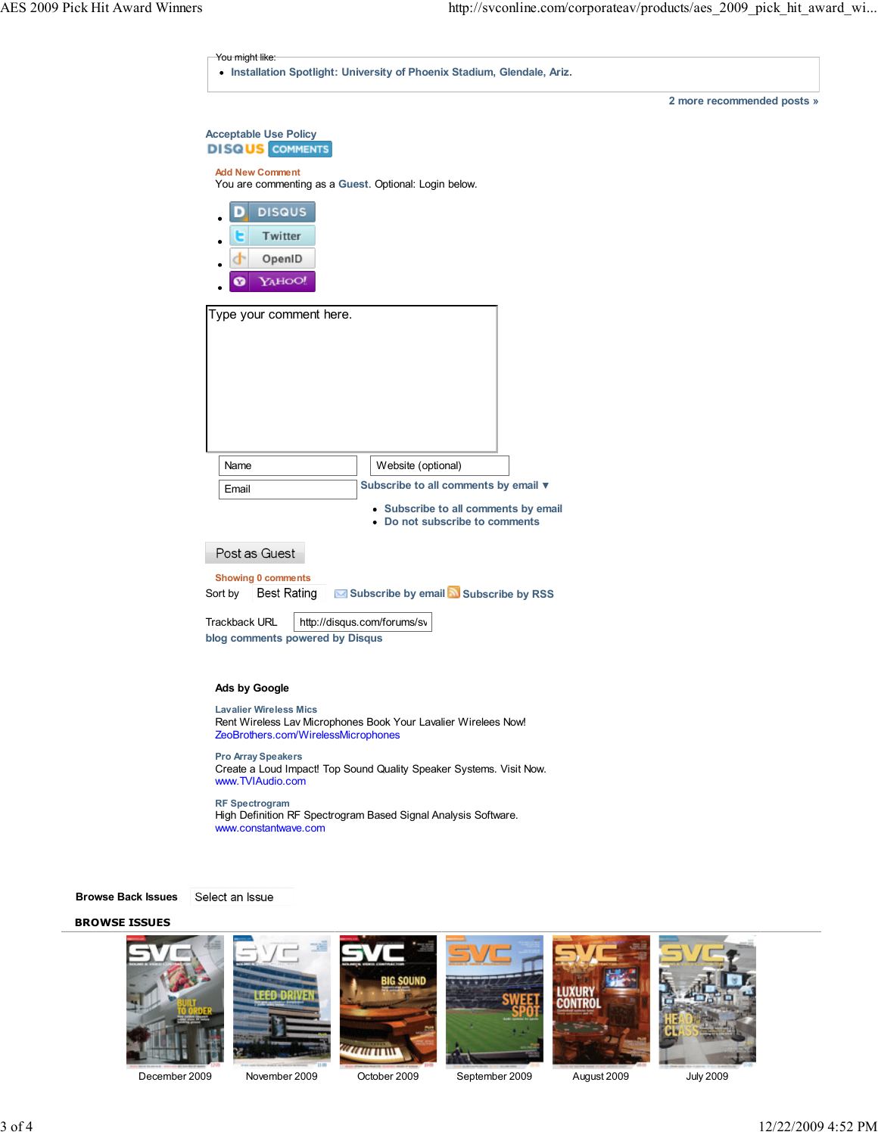| <b>Acceptable Use Policy</b><br><b>DISQUS</b> COMMENTS<br><b>Add New Comment</b><br>You are commenting as a Guest. Optional: Login below.<br><b>DISQUS</b><br>٠<br>Twitter<br>е<br>OpenID<br>YAHOO!<br>Ø<br>Type your comment here.<br>Name<br>Website (optional)<br>Subscribe to all comments by email ▼<br>Email<br>• Subscribe to all comments by email<br>• Do not subscribe to comments<br>Post as Guest<br>Showing 0 comments<br>Subscribe by email N Subscribe by RSS<br><b>Best Rating</b> |                      | 2 more recommended posts » |
|----------------------------------------------------------------------------------------------------------------------------------------------------------------------------------------------------------------------------------------------------------------------------------------------------------------------------------------------------------------------------------------------------------------------------------------------------------------------------------------------------|----------------------|----------------------------|
| Sort by                                                                                                                                                                                                                                                                                                                                                                                                                                                                                            |                      |                            |
|                                                                                                                                                                                                                                                                                                                                                                                                                                                                                                    |                      |                            |
|                                                                                                                                                                                                                                                                                                                                                                                                                                                                                                    |                      |                            |
|                                                                                                                                                                                                                                                                                                                                                                                                                                                                                                    |                      |                            |
|                                                                                                                                                                                                                                                                                                                                                                                                                                                                                                    |                      |                            |
|                                                                                                                                                                                                                                                                                                                                                                                                                                                                                                    |                      |                            |
|                                                                                                                                                                                                                                                                                                                                                                                                                                                                                                    |                      |                            |
|                                                                                                                                                                                                                                                                                                                                                                                                                                                                                                    |                      |                            |
|                                                                                                                                                                                                                                                                                                                                                                                                                                                                                                    |                      |                            |
|                                                                                                                                                                                                                                                                                                                                                                                                                                                                                                    |                      |                            |
|                                                                                                                                                                                                                                                                                                                                                                                                                                                                                                    |                      |                            |
|                                                                                                                                                                                                                                                                                                                                                                                                                                                                                                    |                      |                            |
|                                                                                                                                                                                                                                                                                                                                                                                                                                                                                                    |                      |                            |
|                                                                                                                                                                                                                                                                                                                                                                                                                                                                                                    |                      |                            |
|                                                                                                                                                                                                                                                                                                                                                                                                                                                                                                    |                      |                            |
|                                                                                                                                                                                                                                                                                                                                                                                                                                                                                                    |                      |                            |
|                                                                                                                                                                                                                                                                                                                                                                                                                                                                                                    |                      |                            |
|                                                                                                                                                                                                                                                                                                                                                                                                                                                                                                    |                      |                            |
|                                                                                                                                                                                                                                                                                                                                                                                                                                                                                                    |                      |                            |
|                                                                                                                                                                                                                                                                                                                                                                                                                                                                                                    |                      |                            |
|                                                                                                                                                                                                                                                                                                                                                                                                                                                                                                    |                      |                            |
|                                                                                                                                                                                                                                                                                                                                                                                                                                                                                                    |                      |                            |
| http://disqus.com/forums/sv                                                                                                                                                                                                                                                                                                                                                                                                                                                                        |                      |                            |
| blog comments powered by Disqus                                                                                                                                                                                                                                                                                                                                                                                                                                                                    | <b>Trackback URL</b> |                            |

Lavalier Wireless Mics Rent Wireless Lav Microphones Book Your Lavalier Wirelees Now! ZeoBrothers.com/WirelessMicrophones

Pro Array Speakers Create a Loud Impact! Top Sound Quality Speaker Systems. Visit Now. www.TVIAudio.com

RF Spectrogram High Definition RF Spectrogram Based Signal Analysis Software. www.constantwave.com

Browse Back Issues

Select an Issue

#### BROWSE ISSUES